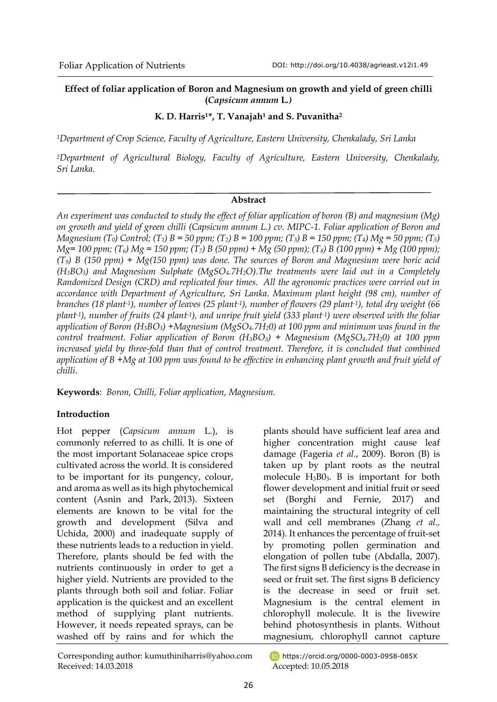# **Effect of foliar application of Boron and Magnesium on growth and yield of green chilli (***Capsicum annum* **L***.)*

# **K. D. Harris1\*, T. Vanajah<sup>1</sup> and S. Puvanitha<sup>2</sup>**

*<sup>1</sup>Department of Crop Science, Faculty of Agriculture, Eastern University, Chenkalady, Sri Lanka*

*<sup>2</sup>Department of Agricultural Biology, Faculty of Agriculture, Eastern University, Chenkalady, Sri Lanka.*

## **Abstract**

*An experiment was conducted to study the effect of foliar application of boron (B) and magnesium (Mg) on growth and yield of green chilli (Capsicum annum L.) cv. MIPC-1. Foliar application of Boron and Magnesium (T0) Control; (T1) B = 50 ppm; (T2) B = 100 ppm; (T3) B = 150 ppm; (T4) Mg = 50 ppm; (T5) Mg= 100 ppm; (T6) Mg = 150 ppm; (T7) B (50 ppm) + Mg (50 ppm); (T8) B (100 ppm) + Mg (100 ppm); (T9) B (150 ppm) + Mg(150 ppm) was done. The sources of Boron and Magnesium were boric acid (H3BO3) and Magnesium Sulphate (MgSO4.7H2O).The treatments were laid out in a Completely Randomized Design (CRD) and replicated four times. All the agronomic practices were carried out in accordance with Department of Agriculture, Sri Lanka. Maximum plant height (98 cm), number of branches (18 plant-1), number of leaves (25 plant-1), number of flowers (29 plant-1), total dry weight (66 plant-1), number of fruits (24 plant-1), and unripe fruit yield (333 plant-1) were observed with the foliar application of Boron (H3BO3) +Magnesium (MgSO4.7H20) at 100 ppm and minimum was found in the control treatment. Foliar application of Boron (H3BO3) + Magnesium (MgSO4.7H20) at 100 ppm*  increased yield by three-fold than that of control treatment. Therefore, it is concluded that combined *application of B +Mg at 100 ppm was found to be effective in enhancing plant growth and fruit yield of chilli.*

**Keywords**: *Boron, Chilli, Foliar application, Magnesium.*

# **Introduction**

Hot pepper (*Capsicum annum* L.), is commonly referred to as chilli. It is one of the most important Solanaceae spice crops cultivated across the world. It is considered to be important for its pungency, colour, and aroma as well as its high phytochemical content (Asnin and Park, 2013). Sixteen elements are known to be vital for the growth and development (Silva and Uchida, 2000) and inadequate supply of these nutrients leads to a reduction in yield. Therefore, plants should be fed with the nutrients continuously in order to get a higher yield. Nutrients are provided to the plants through both soil and foliar. Foliar application is the quickest and an excellent method of supplying plant nutrients. However, it needs repeated sprays, can be washed off by rains and for which the

plants should have sufficient leaf area and higher concentration might cause leaf damage (Fageria *et al.*, 2009). Boron (B) is taken up by plant roots as the neutral molecule  $H_3B0_3$ . B is important for both flower development and initial fruit or seed set (Borghi and Fernie, 2017) and maintaining the structural integrity of cell wall and cell membranes (Zhang *et al.,*  2014). It enhances the percentage of fruit-set by promoting pollen germination and elongation of pollen tube (Abdalla, 2007). The first signs B deficiency is the decrease in seed or fruit set. The first signs B deficiency is the decrease in seed or fruit set. Magnesium is the central element in chlorophyll molecule. It is the livewire behind photosynthesis in plants. Without magnesium, chlorophyll cannot capture

https://orcid.org/0000-0003-0958-085X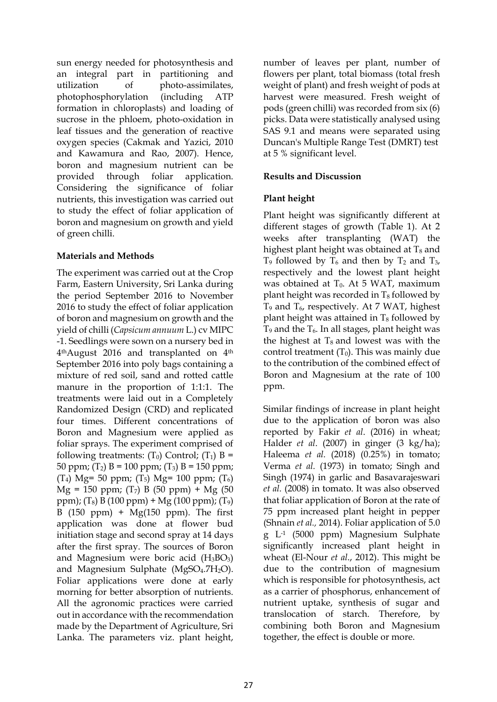sun energy needed for photosynthesis and an integral part in partitioning and utilization of photo-assimilates, photophosphorylation (including ATP formation in chloroplasts) and loading of sucrose in the phloem, photo-oxidation in leaf tissues and the generation of reactive oxygen species (Cakmak and Yazici, 2010 and Kawamura and Rao, 2007). Hence, boron and magnesium nutrient can be provided through foliar application. Considering the significance of foliar nutrients, this investigation was carried out to study the effect of foliar application of boron and magnesium on growth and yield of green chilli.

## **Materials and Methods**

The experiment was carried out at the Crop Farm, Eastern University, Sri Lanka during the period September 2016 to November 2016 to study the effect of foliar application of boron and magnesium on growth and the yield of chilli (*Capsicum annuum* L.) cv MIPC -1. Seedlings were sown on a nursery bed in 4thAugust 2016 and transplanted on 4th September 2016 into poly bags containing a mixture of red soil, sand and rotted cattle manure in the proportion of 1:1:1. The treatments were laid out in a Completely Randomized Design (CRD) and replicated four times. Different concentrations of Boron and Magnesium were applied as foliar sprays. The experiment comprised of following treatments:  $(T_0)$  Control;  $(T_1)$  B = 50 ppm;  $(T_2)$  B = 100 ppm;  $(T_3)$  B = 150 ppm; (T<sub>4</sub>) Mg= 50 ppm; (T<sub>5</sub>) Mg= 100 ppm; (T<sub>6</sub>)  $Mg = 150$  ppm; (T<sub>7</sub>) B (50 ppm) + Mg (50 ppm); (T<sub>8</sub>) B (100 ppm) + Mg (100 ppm); (T<sub>9</sub>) B  $(150 \text{ ppm}) + \text{Mg}(150 \text{ ppm})$ . The first application was done at flower bud initiation stage and second spray at 14 days after the first spray. The sources of Boron and Magnesium were boric acid  $(H_3BO_3)$ and Magnesium Sulphate ( $MgSO<sub>4</sub>$ .7H<sub>2</sub>O). Foliar applications were done at early morning for better absorption of nutrients. All the agronomic practices were carried out in accordance with the recommendation made by the Department of Agriculture, Sri Lanka. The parameters viz. plant height,

number of leaves per plant, number of flowers per plant, total biomass (total fresh weight of plant) and fresh weight of pods at harvest were measured. Fresh weight of pods (green chilli) was recorded from six (6) picks. Data were statistically analysed using SAS 9.1 and means were separated using Duncan's Multiple Range Test (DMRT) test at 5 % significant level.

# **Results and Discussion**

# **Plant height**

Plant height was significantly different at different stages of growth (Table 1). At 2 weeks after transplanting (WAT) the highest plant height was obtained at  $T_8$  and  $T_9$  followed by  $T_6$  and then by  $T_2$  and  $T_3$ , respectively and the lowest plant height was obtained at  $T_0$ . At 5 WAT, maximum plant height was recorded in  $T_8$  followed by  $T_9$  and  $T_{6}$ , respectively. At 7 WAT, highest plant height was attained in  $T_8$  followed by  $T_9$  and the  $T_6$ . In all stages, plant height was the highest at  $T_8$  and lowest was with the control treatment  $(T_0)$ . This was mainly due to the contribution of the combined effect of Boron and Magnesium at the rate of 100 ppm.

Similar findings of increase in plant height due to the application of boron was also reported by Fakir *et al*. (2016) in wheat; [Halder](http://ascidatabase.com/author.php?author=N.K.&last=Halder) *et al*. (2007) in ginger (3 kg/ha); Haleema *et al.* (2018) (0.25%) in tomato; Verma *et al.* (1973) in tomato; Singh and Singh (1974) in garlic and Basavarajeswari *et al.* (2008) in tomato. It was also observed that foliar application of Boron at the rate of 75 ppm increased plant height in pepper (Shnain *et al.,* 2014). Foliar application of 5.0 g L-1 (5000 ppm) Magnesium Sulphate significantly increased plant height in wheat (El-Nour *et al*., 2012). This might be due to the contribution of magnesium which is responsible for photosynthesis, act as a carrier of phosphorus, enhancement of nutrient uptake, synthesis of sugar and translocation of starch. Therefore, by combining both Boron and Magnesium together, the effect is double or more.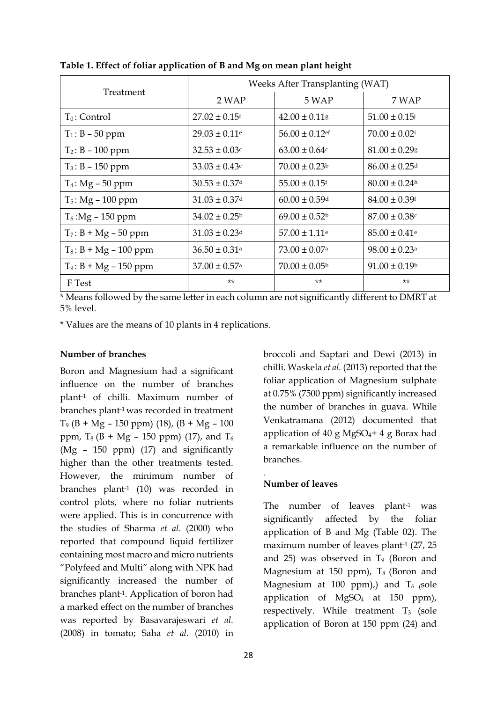|                          | Weeks After Transplanting (WAT) |                               |                               |
|--------------------------|---------------------------------|-------------------------------|-------------------------------|
| Treatment                | 2 WAP                           | 5 WAP                         | 7 WAP                         |
| $T_0$ : Control          | $27.02 \pm 0.15$ <sup>f</sup>   | $42.00 \pm 0.11$ g            | $51.00 \pm 0.15$              |
| $T_1$ : B – 50 ppm       | $29.03 \pm 0.11$ <sup>e</sup>   | $56.00 \pm 0.12$ ef           | $70.00 \pm 0.02$ <sup>i</sup> |
| $T_2$ : B - 100 ppm      | $32.53 \pm 0.03$ c              | $63.00 \pm 0.64$ c            | $81.00 \pm 0.29$ g            |
| $T_3$ : B – 150 ppm      | $33.03 \pm 0.43$ c              | $70.00 \pm 0.23$              | $86.00 \pm 0.25$ d            |
| $T_4$ : Mg – 50 ppm      | $30.53 \pm 0.37$ <sup>d</sup>   | $55.00 \pm 0.15$ <sup>f</sup> | $80.00 \pm 0.24$ <sup>h</sup> |
| $T_5$ : Mg – 100 ppm     | $31.03 \pm 0.37$ d              | $60.00 \pm 0.59$ <sup>d</sup> | $84.00 \pm 0.39$ <sup>f</sup> |
| $T_6$ :Mg – 150 ppm      | $34.02 \pm 0.25^{\rm b}$        | $69.00 \pm 0.52$ <sup>b</sup> | $87.00 \pm 0.38$ c            |
| $T_7$ : B + Mg – 50 ppm  | $31.03 \pm 0.23$ <sup>d</sup>   | $57.00 \pm 1.11$ <sup>e</sup> | $85.00 \pm 0.41$ <sup>e</sup> |
| $T_8$ : B + Mg – 100 ppm | $36.50 \pm 0.31$ <sup>a</sup>   | $73.00 \pm 0.07$ <sup>a</sup> | $98.00 \pm 0.23$ <sup>a</sup> |
| $T_9$ : B + Mg – 150 ppm | $37.00 \pm 0.57$ <sup>a</sup>   | $70.00 \pm 0.05^{\circ}$      | $91.00 \pm 0.19$ <sup>b</sup> |
| F Test                   | $***$                           | $**$                          | $**$                          |

**Table 1. Effect of foliar application of B and Mg on mean plant height**

\* Means followed by the same letter in each column are not significantly different to DMRT at 5% level.

\* Values are the means of 10 plants in 4 replications.

### **Number of branches**

Boron and Magnesium had a significant influence on the number of branches plant-1 of chilli. Maximum number of branches plant-1 was recorded in treatment  $T_9$  (B + Mg – 150 ppm) (18), (B + Mg – 100 ppm,  $T_8$  (B + Mg – 150 ppm) (17), and  $T_6$ (Mg – 150 ppm) (17) and significantly higher than the other treatments tested. However, the minimum number of branches plant-1 (10) was recorded in control plots, where no foliar nutrients were applied. This is in concurrence with the studies of Sharma *et al*. (2000) who reported that compound liquid fertilizer containing most macro and micro nutrients "Polyfeed and Multi" along with NPK had significantly increased the number of branches plant-1. Application of boron had a marked effect on the number of branches was reported by Basavarajeswari *et al.*  (2008) in tomato; Saha *et al.* (2010) in broccoli and Saptari and Dewi (2013) in chilli. Waskela *et al.* (2013) reported that the foliar application of Magnesium sulphate at 0.75% (7500 ppm) significantly increased the number of branches in guava. While Venkatramana (2012) documented that application of 40 g MgSO<sub>4</sub>+4 g Borax had a remarkable influence on the number of branches.

## **Number of leaves**

.

The number of leaves plant-1 was significantly affected by the foliar application of B and Mg (Table 02). The maximum number of leaves plant-1 (27, 25 and 25) was observed in  $T_9$  (Boron and Magnesium at 150 ppm),  $T_8$  (Boron and Magnesium at 100 ppm),) and  $T_6$  (sole application of  $MgSO<sub>4</sub>$  at 150 ppm), respectively. While treatment  $T_3$  (sole application of Boron at 150 ppm (24) and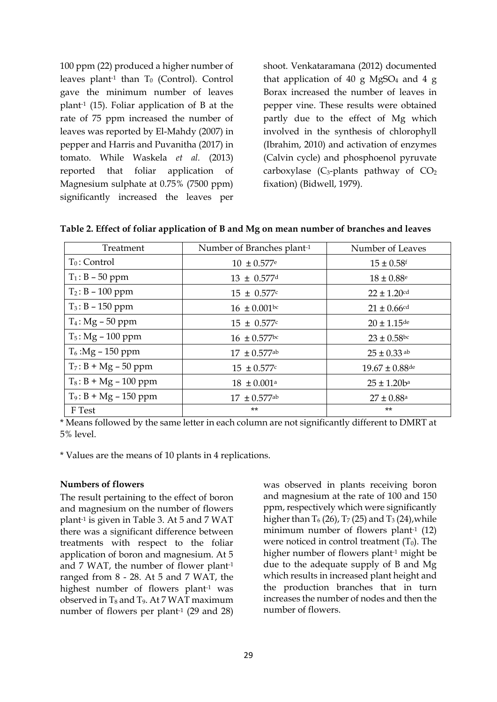100 ppm (22) produced a higher number of leaves plant<sup>-1</sup> than  $T_0$  (Control). Control gave the minimum number of leaves plant-1 (15). Foliar application of B at the rate of 75 ppm increased the number of leaves was reported by El-Mahdy (2007) in pepper and Harris and Puvanitha (2017) in tomato. While Waskela *et al.* (2013) reported that foliar application of Magnesium sulphate at 0.75% (7500 ppm) significantly increased the leaves per

shoot. Venkataramana (2012) documented that application of 40 g MgSO<sub>4</sub> and 4 g Borax increased the number of leaves in pepper vine. These results were obtained partly due to the effect of Mg which involved in the synthesis of chlorophyll (Ibrahim, 2010) and activation of enzymes (Calvin cycle) and phosphoenol pyruvate carboxylase  $(C_3$ -plants pathway of  $CO_2$ fixation) (Bidwell, 1979).

| Treatment                | Number of Branches plant-1   | Number of Leaves         |
|--------------------------|------------------------------|--------------------------|
| $T_0$ : Control          | $10 \pm 0.577$ <sup>e</sup>  | $15 \pm 0.58$ f          |
| $T_1$ : B – 50 ppm       | $13 \pm 0.577$ d             | $18 \pm 0.88^{\circ}$    |
| $T_2$ : B – 100 ppm      | $15 \pm 0.577$ c             | $22 \pm 1.20$ cd         |
| $T_3$ : B – 150 ppm      | $16 \pm 0.001$ bc            | $21 \pm 0.66$ cd         |
| $T_4$ : Mg – 50 ppm      | $15 \pm 0.577$ c             | $20 \pm 1.15$ de         |
| $T_5$ : Mg – 100 ppm     | $16 \pm 0.577$ bc            | $23 \pm 0.58$ bc         |
| $T_6$ :Mg – 150 ppm      | $17 \pm 0.577$ <sup>ab</sup> | $25 \pm 0.33$ ab         |
| $T_7$ : B + Mg – 50 ppm  | $15 \pm 0.577$ c             | $19.67 \pm 0.88$ de      |
| $T_8$ : B + Mg – 100 ppm | $18 \pm 0.001$ <sup>a</sup>  | $25 \pm 1.20$ $b^a$      |
| $T_9$ : B + Mg – 150 ppm | $17 \pm 0.577$ ab            | $27 \pm 0.88^{\text{a}}$ |
| F Test                   | $***$                        | $***$                    |

**Table 2. Effect of foliar application of B and Mg on mean number of branches and leaves** 

\* Means followed by the same letter in each column are not significantly different to DMRT at 5% level.

\* Values are the means of 10 plants in 4 replications.

#### **Numbers of flowers**

The result pertaining to the effect of boron and magnesium on the number of flowers plant-1 is given in Table 3. At 5 and 7 WAT there was a significant difference between treatments with respect to the foliar application of boron and magnesium. At 5 and 7 WAT, the number of flower plant-1 ranged from 8 - 28. At 5 and 7 WAT, the highest number of flowers plant-1 was observed in  $T_8$  and  $T_9$ . At 7 WAT maximum number of flowers per plant-1 (29 and 28) was observed in plants receiving boron and magnesium at the rate of 100 and 150 ppm, respectively which were significantly higher than  $T_6$  (26),  $T_7$  (25) and  $T_3$  (24), while minimum number of flowers plant<sup>-1</sup> (12) were noticed in control treatment  $(T_0)$ . The higher number of flowers plant<sup>-1</sup> might be due to the adequate supply of B and Mg which results in increased plant height and the production branches that in turn increases the number of nodes and then the number of flowers.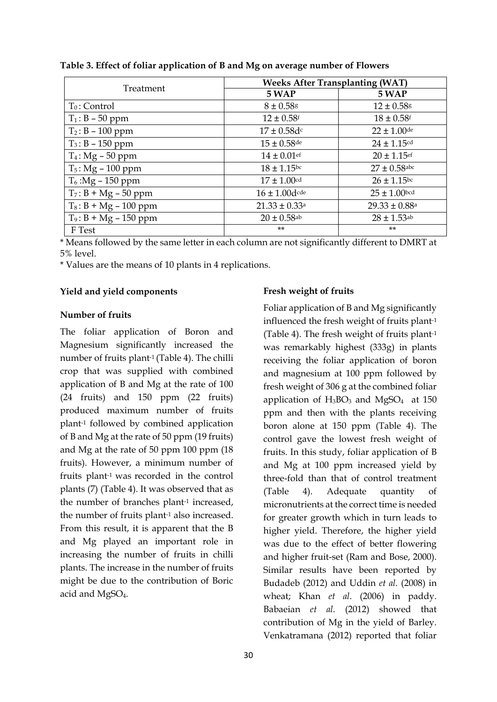| Treatment                | <b>Weeks After Transplanting (WAT)</b> |                               |  |
|--------------------------|----------------------------------------|-------------------------------|--|
|                          | 5 WAP                                  | 5 WAP                         |  |
| $T_0$ : Control          | $8 \pm 0.58$                           | $12 \pm 0.58$ g               |  |
| $T_1$ : B – 50 ppm       | $12 \pm 0.58$ <sup>f</sup>             | $18 \pm 0.58$ <sup>f</sup>    |  |
| $T_2$ : B – 100 ppm      | $17 \pm 0.58d$ c                       | $22 \pm 1.00$ de              |  |
| $T_3$ : B – 150 ppm      | $15 \pm 0.58$ de                       | $24 \pm 1.15$ cd              |  |
| $T_4$ : Mg – 50 ppm      | $14 \pm 0.01$ ef                       | $20 \pm 1.15$ ef              |  |
| $T_5$ : Mg – 100 ppm     | $18 \pm 1.15$ bc                       | $27 \pm 0.58$ abc             |  |
| $T_6$ :Mg – 150 ppm      | $17 \pm 1.00$ cd                       | $26 \pm 1.15$ bc              |  |
| $T_7$ : B + Mg – 50 ppm  | $16 \pm 1.00$ dcde                     | $25 \pm 1.00$ bcd             |  |
| $T_8$ : B + Mg – 100 ppm | $21.33 \pm 0.33$ <sup>a</sup>          | $29.33 \pm 0.88$ <sup>a</sup> |  |
| $T_9$ : B + Mg – 150 ppm | $20 \pm 0.58$ <sup>ab</sup>            | $28 \pm 1.53$ <sup>ab</sup>   |  |
| F Test                   | $***$                                  | $**$                          |  |

**Table 3. Effect of foliar application of B and Mg on average number of Flowers**

\* Means followed by the same letter in each column are not significantly different to DMRT at 5% level.

\* Values are the means of 10 plants in 4 replications.

#### **Yield and yield components**

#### **Number of fruits**

The foliar application of Boron and Magnesium significantly increased the number of fruits plant-1 (Table 4). The chilli crop that was supplied with combined application of B and Mg at the rate of 100 (24 fruits) and 150 ppm (22 fruits) produced maximum number of fruits plant-1 followed by combined application of B and Mg at the rate of 50 ppm (19 fruits) and Mg at the rate of 50 ppm 100 ppm (18 fruits). However, a minimum number of fruits plant-1 was recorded in the control plants (7) (Table 4). It was observed that as the number of branches plant-1 increased, the number of fruits plant-1 also increased. From this result, it is apparent that the B and Mg played an important role in increasing the number of fruits in chilli plants. The increase in the number of fruits might be due to the contribution of Boric acid and MgSO4.

## **Fresh weight of fruits**

Foliar application of B and Mg significantly influenced the fresh weight of fruits plant-1 (Table 4). The fresh weight of fruits plant-1 was remarkably highest (333g) in plants receiving the foliar application of boron and magnesium at 100 ppm followed by fresh weight of 306 g at the combined foliar application of  $H_3BO_3$  and  $MgSO_4$  at 150 ppm and then with the plants receiving boron alone at 150 ppm (Table 4). The control gave the lowest fresh weight of fruits. In this study, foliar application of B and Mg at 100 ppm increased yield by three-fold than that of control treatment (Table 4). Adequate quantity of micronutrients at the correct time is needed for greater growth which in turn leads to higher yield. Therefore, the higher yield was due to the effect of better flowering and higher fruit-set (Ram and Bose, 2000). Similar results have been reported by Budadeb (2012) and Uddin *et al.* (2008) in wheat; Khan *et al*. (2006) in paddy. Babaeian *et al*. (2012) showed that contribution of Mg in the yield of Barley. Venkatramana (2012) reported that foliar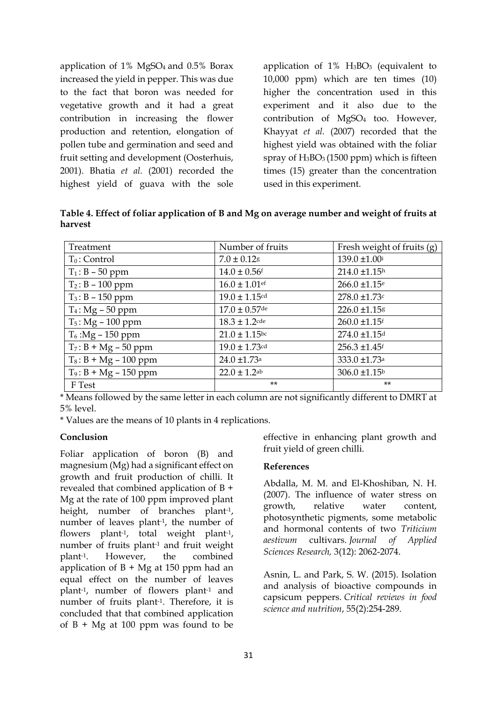application of  $1\%$  MgSO<sub>4</sub> and  $0.5\%$  Borax increased the yield in pepper. This was due to the fact that boron was needed for vegetative growth and it had a great contribution in increasing the flower production and retention, elongation of pollen tube and germination and seed and fruit setting and development (Oosterhuis, 2001). Bhatia *et al.* (2001) recorded the highest yield of guava with the sole

application of  $1\%$  H<sub>3</sub>BO<sub>3</sub> (equivalent to 10,000 ppm) which are ten times (10) higher the concentration used in this experiment and it also due to the contribution of MgSO<sup>4</sup> too. However, Khayyat *et al.* (2007) recorded that the highest yield was obtained with the foliar spray of  $H_3BO_3(1500 ppm)$  which is fifteen times (15) greater than the concentration used in this experiment.

**Table 4. Effect of foliar application of B and Mg on average number and weight of fruits at harvest**

| Treatment                | Number of fruits             | Fresh weight of fruits (g)    |
|--------------------------|------------------------------|-------------------------------|
| $T_0$ : Control          | $7.0 \pm 0.12$ g             | 139.0 ±1.00i                  |
| $T_1$ : B – 50 ppm       | $14.0 \pm 0.56$ <sup>f</sup> | $214.0 \pm 1.15^h$            |
| $T_2$ : B – 100 ppm      | $16.0 \pm 1.01$ ef           | $266.0 \pm 1.15$ <sup>e</sup> |
| $T_3$ : B - 150 ppm      | $19.0 \pm 1.15$ cd           | $278.0 \pm 1.73$ c            |
| $T_4$ : Mg – 50 ppm      | $17.0 \pm 0.57$ de           | 226.0 ±1.15g                  |
| $T_5$ : Mg - 100 ppm     | $18.3 \pm 1.2$ cde           | $260.0 \pm 1.15$ <sup>f</sup> |
| $T_6$ :Mg – 150 ppm      | $21.0 \pm 1.15$ bc           | 274.0 ±1.15 <sup>d</sup>      |
| $T_7$ : B + Mg – 50 ppm  | $19.0 \pm 1.73$ cd           | $256.3 \pm 1.45$ <sup>f</sup> |
| $T_8$ : B + Mg – 100 ppm | $24.0 \pm 1.73$ <sup>a</sup> | 333.0 ±1.73 <sup>a</sup>      |
| $T_9$ : B + Mg – 150 ppm | $22.0 \pm 1.2$ <sup>ab</sup> | $306.0 \pm 1.15^b$            |
| F Test                   | $**$                         | $***$                         |

\* Means followed by the same letter in each column are not significantly different to DMRT at 5% level.

\* Values are the means of 10 plants in 4 replications.

#### **Conclusion**

Foliar application of boron (B) and magnesium (Mg) had a significant effect on growth and fruit production of chilli. It revealed that combined application of B + Mg at the rate of 100 ppm improved plant height, number of branches plant-1, number of leaves plant-1, the number of flowers plant-1, total weight plant-1, number of fruits plant-1 and fruit weight plant-1. However, the combined application of  $B + Mg$  at 150 ppm had an equal effect on the number of leaves plant-1, number of flowers plant-1 and number of fruits plant-1. Therefore, it is concluded that that combined application of  $B + Mg$  at 100 ppm was found to be

effective in enhancing plant growth and fruit yield of green chilli.

## **References**

Abdalla, M. M. and El-Khoshiban, N. H. (2007). The influence of water stress on growth, relative water content, photosynthetic pigments, some metabolic and hormonal contents of two *Triticium aestivum* cultivars. *Journal of Applied Sciences Research,* 3(12): 2062-2074.

Asnin, L. and Park, S. W. (2015). Isolation and analysis of bioactive compounds in capsicum peppers. *Critical reviews in food science and nutrition*, 55(2):254-289.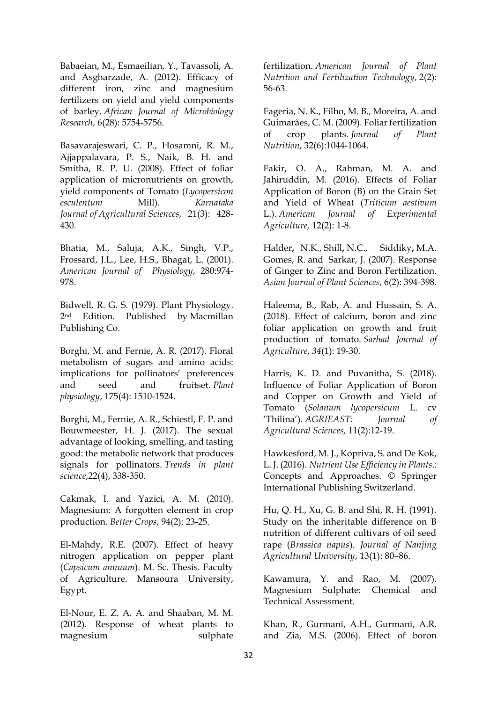Babaeian, M., Esmaeilian, Y., Tavassoli, A. and Asgharzade, A. (2012). Efficacy of different iron, zinc and magnesium fertilizers on yield and yield components of barley. *African Journal of Microbiology Research*, 6(28): 5754-5756.

Basavarajeswari, C. P., Hosamni, R. M., Ajjappalavara, P. S., Naik, B. H. and Smitha, R. P. U. (2008). Effect of foliar application of micronutrients on growth, yield components of Tomato (*Lycopersicon esculentum* Mill). *Karnataka Journal of Agricultural Sciences*, 21(3): 428- 430.

Bhatia, M., Saluja, A.K., Singh, V.P., Frossard, J.L., Lee, H.S., Bhagat, L. (2001). *American Journal of Physiology*, 280:974- 978.

Bidwell, R. G. S. (1979). Plant Physiology. 2nd Edition. Published by Macmillan Publishing Co.

Borghi, M. and Fernie, A. R. (2017). Floral metabolism of sugars and amino acids: implications for pollinators' preferences and seed and fruitset. *Plant physiology*, 175(4): 1510-1524.

Borghi, M., Fernie, A. R., Schiestl, F. P. and Bouwmeester, H. J. (2017). The sexual advantage of looking, smelling, and tasting good: the metabolic network that produces signals for pollinators. *Trends in plant science*,22(4), 338-350.

Cakmak, I. and Yazici, A. M. (2010). Magnesium: A forgotten element in crop production. *Better Crops*, 94(2): 23-25.

El-Mahdy, R.E. (2007). Effect of heavy nitrogen application on pepper plant (*Capsicum annuum*). M. Sc. Thesis. Faculty of Agriculture. Mansoura University, Egypt.

El-Nour, E. Z. A. A. and Shaaban, M. M. (2012). Response of wheat plants to magnesium sulphate

fertilization. *American Journal of Plant Nutrition and Fertilization Technology*, 2(2): 56-63.

Fageria, N. K., Filho, M. B., Moreira, A. and Guimarães, C. M. (2009). Foliar fertilization of crop plants. *Journal of Plant Nutrition*, 32(6):1044-1064.

Fakir, O. A., Rahman, M. A. and Jahiruddin, M. (2016). Effects of Foliar Application of Boron (B) on the Grain Set and Yield of Wheat (*Triticum aestivum* L.). *American Journal of Experimental Agriculture,* 12(2): 1-8.

[Halder](http://ascidatabase.com/author.php?author=N.K.&last=Halder)**,** N.K., [Shill](http://ascidatabase.com/author.php?author=N.C.&last=Shill)**,** N.C., [Siddiky](http://ascidatabase.com/author.php?author=M.A.&last=Siddiky)**,** M.A. Gomes, R. and Sarkar, J. (2007). Response of Ginger to Zinc and Boron Fertilization. *Asian Journal of Plant Sciences*, 6(2): 394-398.

Haleema, B., Rab, A. and Hussain, S. A. (2018). Effect of calcium, boron and zinc foliar application on growth and fruit production of tomato. *Sarhad Journal of Agriculture*, *34*(1): 19-30.

Harris, K. D. and Puvanitha, S. (2018). Influence of Foliar Application of Boron and Copper on Growth and Yield of Tomato (*Solanum lycopersicum* L. cv 'Thilina'). *AGRIEAST: Journal of Agricultural Sciences,* 11(2):12-19.

Hawkesford, M. J., Kopriva, S. and De Kok, L. J. (2016). *Nutrient Use Efficiency in Plants*.: Concepts and Approaches. © Springer International Publishing Switzerland.

Hu, Q. H., Xu, G. B. and Shi, R. H. (1991). Study on the inheritable difference on B nutrition of different cultivars of oil seed rape (*Brassica napus*). *Journal of Nanjing Agricultural University*, 13(1): 80–86.

Kawamura, Y. and Rao, M. (2007). Magnesium Sulphate: Chemical and Technical Assessment.

Khan, R., Gurmani, A.H., Gurmani, A.R. and Zia, M.S. (2006). Effect of boron